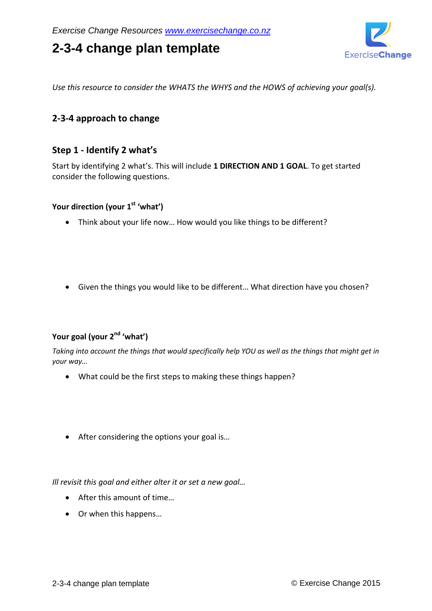# **2-3-4 change plan template**



*Use this resource to consider the WHATS the WHYS and the HOWS of achieving your goal(s).*

## **2-3-4 approach to change**

## **Step 1 - Identify 2 what's**

Start by identifying 2 what's. This will include **1 DIRECTION AND 1 GOAL**. To get started consider the following questions.

### **Your direction (your 1st 'what')**

- Think about your life now… How would you like things to be different?
- Given the things you would like to be different… What direction have you chosen?

# **Your goal (your 2nd 'what')**

*Taking into account the things that would specifically help YOU as well as the things that might get in your way…*

- What could be the first steps to making these things happen?
- After considering the options your goal is...

*Ill revisit this goal and either alter it or set a new goal…*

- After this amount of time…
- Or when this happens…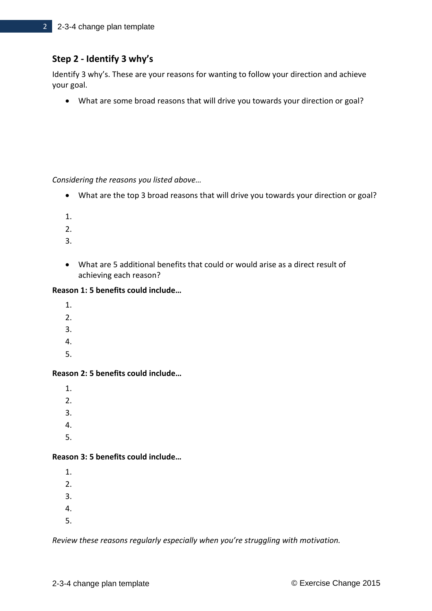# **Step 2 - Identify 3 why's**

Identify 3 why's. These are your reasons for wanting to follow your direction and achieve your goal.

What are some broad reasons that will drive you towards your direction or goal?

*Considering the reasons you listed above…*

- What are the top 3 broad reasons that will drive you towards your direction or goal?
- 1.
- 
- 2.
- 3.
- What are 5 additional benefits that could or would arise as a direct result of achieving each reason?

#### **Reason 1: 5 benefits could include…**

- 1.
- 2.
- 3.
- 4.
- 
- 5.

#### **Reason 2: 5 benefits could include…**

1. 2. 3. 4.

5.

### **Reason 3: 5 benefits could include…**

1. 2. 3. 4.

5.

*Review these reasons regularly especially when you're struggling with motivation.*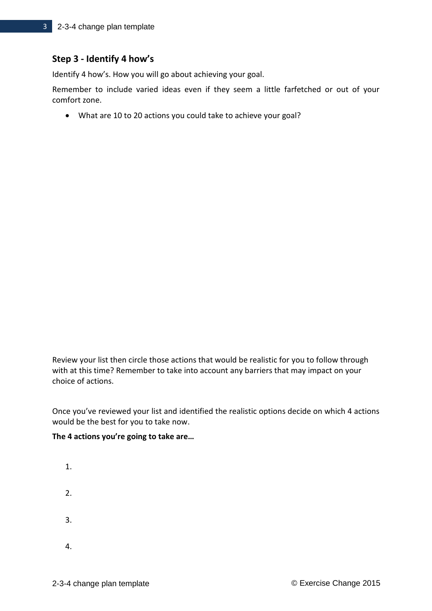## **Step 3 - Identify 4 how's**

Identify 4 how's. How you will go about achieving your goal.

Remember to include varied ideas even if they seem a little farfetched or out of your comfort zone.

What are 10 to 20 actions you could take to achieve your goal?

Review your list then circle those actions that would be realistic for you to follow through with at this time? Remember to take into account any barriers that may impact on your choice of actions.

Once you've reviewed your list and identified the realistic options decide on which 4 actions would be the best for you to take now.

#### **The 4 actions you're going to take are…**